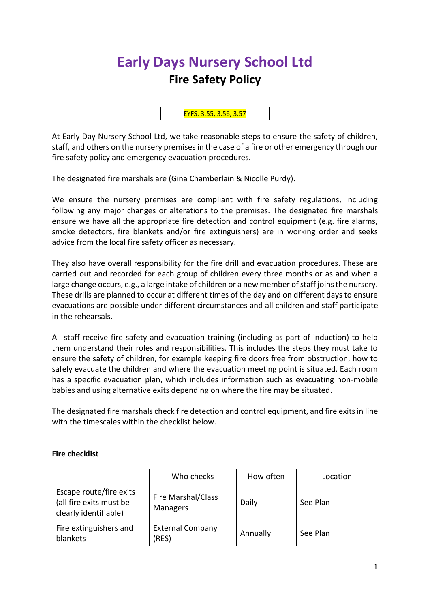# **Early Days Nursery School Ltd Fire Safety Policy**

#### EYFS: 3.55, 3.56, 3.57

At Early Day Nursery School Ltd, we take reasonable steps to ensure the safety of children, staff, and others on the nursery premises in the case of a fire or other emergency through our fire safety policy and emergency evacuation procedures.

The designated fire marshals are (Gina Chamberlain & Nicolle Purdy).

We ensure the nursery premises are compliant with fire safety regulations, including following any major changes or alterations to the premises. The designated fire marshals ensure we have all the appropriate fire detection and control equipment (e.g. fire alarms, smoke detectors, fire blankets and/or fire extinguishers) are in working order and seeks advice from the local fire safety officer as necessary.

They also have overall responsibility for the fire drill and evacuation procedures. These are carried out and recorded for each group of children every three months or as and when a large change occurs, e.g., a large intake of children or a new member of staff joins the nursery. These drills are planned to occur at different times of the day and on different days to ensure evacuations are possible under different circumstances and all children and staff participate in the rehearsals.

All staff receive fire safety and evacuation training (including as part of induction) to help them understand their roles and responsibilities. This includes the steps they must take to ensure the safety of children, for example keeping fire doors free from obstruction, how to safely evacuate the children and where the evacuation meeting point is situated. Each room has a specific evacuation plan, which includes information such as evacuating non-mobile babies and using alternative exits depending on where the fire may be situated.

The designated fire marshals check fire detection and control equipment, and fire exits in line with the timescales within the checklist below.

#### **Fire checklist**

|                                                                             | Who checks                            | How often | Location |
|-----------------------------------------------------------------------------|---------------------------------------|-----------|----------|
| Escape route/fire exits<br>(all fire exits must be<br>clearly identifiable) | Fire Marshal/Class<br><b>Managers</b> | Daily     | See Plan |
| Fire extinguishers and<br>blankets                                          | <b>External Company</b><br>(RES)      | Annually  | See Plan |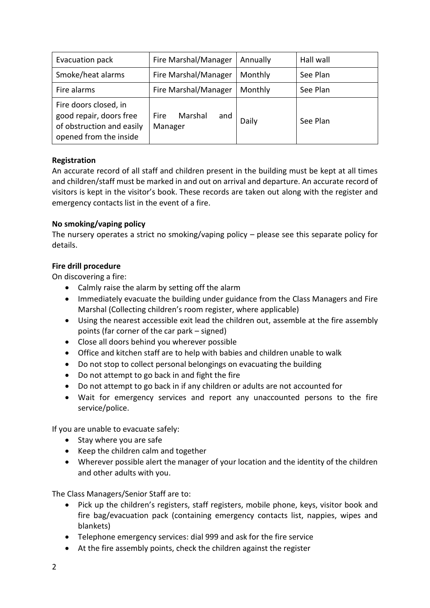| Evacuation pack                                                                                         | Fire Marshal/Manager                     | Annually | Hall wall |
|---------------------------------------------------------------------------------------------------------|------------------------------------------|----------|-----------|
| Smoke/heat alarms                                                                                       | Fire Marshal/Manager                     | Monthly  | See Plan  |
| Fire alarms                                                                                             | Fire Marshal/Manager                     | Monthly  | See Plan  |
| Fire doors closed, in<br>good repair, doors free<br>of obstruction and easily<br>opened from the inside | Marshal<br><b>Fire</b><br>and<br>Manager | Daily    | See Plan  |

## **Registration**

An accurate record of all staff and children present in the building must be kept at all times and children/staff must be marked in and out on arrival and departure. An accurate record of visitors is kept in the visitor's book. These records are taken out along with the register and emergency contacts list in the event of a fire.

#### **No smoking/vaping policy**

The nursery operates a strict no smoking/vaping policy – please see this separate policy for details.

## **Fire drill procedure**

On discovering a fire:

- Calmly raise the alarm by setting off the alarm
- Immediately evacuate the building under guidance from the Class Managers and Fire Marshal (Collecting children's room register, where applicable)
- Using the nearest accessible exit lead the children out, assemble at the fire assembly points (far corner of the car park – signed)
- Close all doors behind you wherever possible
- Office and kitchen staff are to help with babies and children unable to walk
- Do not stop to collect personal belongings on evacuating the building
- Do not attempt to go back in and fight the fire
- Do not attempt to go back in if any children or adults are not accounted for
- Wait for emergency services and report any unaccounted persons to the fire service/police.

If you are unable to evacuate safely:

- Stay where you are safe
- Keep the children calm and together
- Wherever possible alert the manager of your location and the identity of the children and other adults with you.

The Class Managers/Senior Staff are to:

- Pick up the children's registers, staff registers, mobile phone, keys, visitor book and fire bag/evacuation pack (containing emergency contacts list, nappies, wipes and blankets)
- Telephone emergency services: dial 999 and ask for the fire service
- At the fire assembly points, check the children against the register